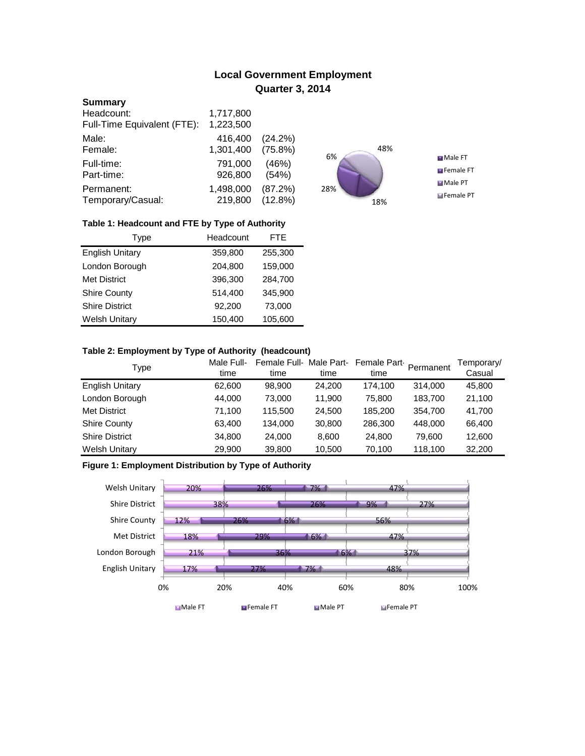# **Local Government Employment Quarter 3, 2014**

#### **Summary**

| Headcount:                  | 1,717,800 |         |
|-----------------------------|-----------|---------|
| Full-Time Equivalent (FTE): | 1,223,500 |         |
| Male:                       | 416,400   | (24.2%) |
| Female:                     | 1,301,400 | (75.8%) |
| Full-time:                  | 791,000   | (46%)   |
| Part-time:                  | 926,800   | (54%)   |
| Permanent:                  | 1,498,000 | (87.2%) |
| Temporary/Casual:           | 219,800   | (12.8%) |



## **Table 1: Headcount and FTE by Type of Authority**

| Type                   | Headcount |         |
|------------------------|-----------|---------|
| <b>English Unitary</b> | 359,800   | 255,300 |
| London Borough         | 204,800   | 159,000 |
| <b>Met District</b>    | 396,300   | 284,700 |
| <b>Shire County</b>    | 514,400   | 345.900 |
| <b>Shire District</b>  | 92,200    | 73,000  |
| <b>Welsh Unitary</b>   | 150,400   | 105,600 |

#### **Table 2: Employment by Type of Authority (headcount)**

| Type                   | Male Full-<br>time | Female Full-Male Part-<br>time | time   | Female Part<br>time | Permanent | Temporary/<br>Casual |
|------------------------|--------------------|--------------------------------|--------|---------------------|-----------|----------------------|
| <b>English Unitary</b> | 62,600             | 98,900                         | 24,200 | 174.100             | 314,000   | 45,800               |
| London Borough         | 44,000             | 73.000                         | 11.900 | 75,800              | 183,700   | 21,100               |
| <b>Met District</b>    | 71.100             | 115,500                        | 24,500 | 185.200             | 354,700   | 41,700               |
| <b>Shire County</b>    | 63,400             | 134.000                        | 30,800 | 286,300             | 448.000   | 66,400               |
| <b>Shire District</b>  | 34,800             | 24,000                         | 8,600  | 24,800              | 79.600    | 12,600               |
| <b>Welsh Unitary</b>   | 29,900             | 39,800                         | 10,500 | 70,100              | 118,100   | 32,200               |

# **Figure 1: Employment Distribution by Type of Authority**